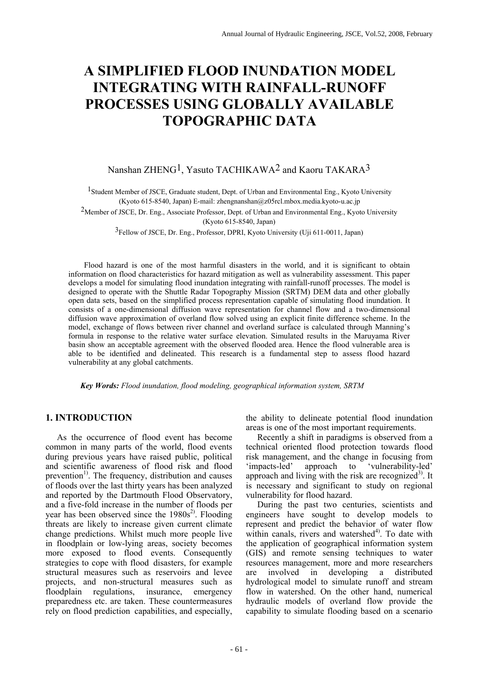# **A SIMPLIFIED FLOOD INUNDATION MODEL INTEGRATING WITH RAINFALL-RUNOFF PROCESSES USING GLOBALLY AVAILABLE TOPOGRAPHIC DATA**

Nanshan ZHENG1, Yasuto TACHIKAWA2 and Kaoru TAKARA3

1Student Member of JSCE, Graduate student, Dept. of Urban and Environmental Eng., Kyoto University (Kyoto 615-8540, Japan) E-mail: zhengnanshan@z05rcl.mbox.media.kyoto-u.ac.jp 2Member of JSCE, Dr. Eng., Associate Professor, Dept. of Urban and Environmental Eng., Kyoto University (Kyoto 615-8540, Japan)

3Fellow of JSCE, Dr. Eng., Professor, DPRI, Kyoto University (Uji 611-0011, Japan)

Flood hazard is one of the most harmful disasters in the world, and it is significant to obtain information on flood characteristics for hazard mitigation as well as vulnerability assessment. This paper develops a model for simulating flood inundation integrating with rainfall-runoff processes. The model is designed to operate with the Shuttle Radar Topography Mission (SRTM) DEM data and other globally open data sets, based on the simplified process representation capable of simulating flood inundation. It consists of a one-dimensional diffusion wave representation for channel flow and a two-dimensional diffusion wave approximation of overland flow solved using an explicit finite difference scheme. In the model, exchange of flows between river channel and overland surface is calculated through Manning's formula in response to the relative water surface elevation. Simulated results in the Maruyama River basin show an acceptable agreement with the observed flooded area. Hence the flood vulnerable area is able to be identified and delineated. This research is a fundamental step to assess flood hazard vulnerability at any global catchments.

 *Key Words: Flood inundation, flood modeling, geographical information system, SRTM* 

# **1. INTRODUCTION**

As the occurrence of flood event has become common in many parts of the world, flood events during previous years have raised public, political and scientific awareness of flood risk and flood prevention<sup>1)</sup>. The frequency, distribution and causes of floods over the last thirty years has been analyzed and reported by the Dartmouth Flood Observatory, and a five-fold increase in the number of floods per year has been observed since the  $1980s<sup>2</sup>$ . Flooding threats are likely to increase given current climate change predictions. Whilst much more people live in floodplain or low-lying areas, society becomes more exposed to flood events. Consequently strategies to cope with flood disasters, for example structural measures such as reservoirs and levee projects, and non-structural measures such as floodplain regulations, insurance, emergency preparedness etc. are taken. These countermeasures rely on flood prediction capabilities, and especially,

the ability to delineate potential flood inundation areas is one of the most important requirements.

Recently a shift in paradigms is observed from a technical oriented flood protection towards flood risk management, and the change in focusing from 'impacts-led' approach to 'vulnerability-led' approach and living with the risk are recognized<sup>3)</sup>. It is necessary and significant to study on regional vulnerability for flood hazard.

During the past two centuries, scientists and engineers have sought to develop models to represent and predict the behavior of water flow within canals, rivers and watershed $4$ . To date with the application of geographical information system (GIS) and remote sensing techniques to water resources management, more and more researchers are involved in developing a distributed hydrological model to simulate runoff and stream flow in watershed. On the other hand, numerical hydraulic models of overland flow provide the capability to simulate flooding based on a scenario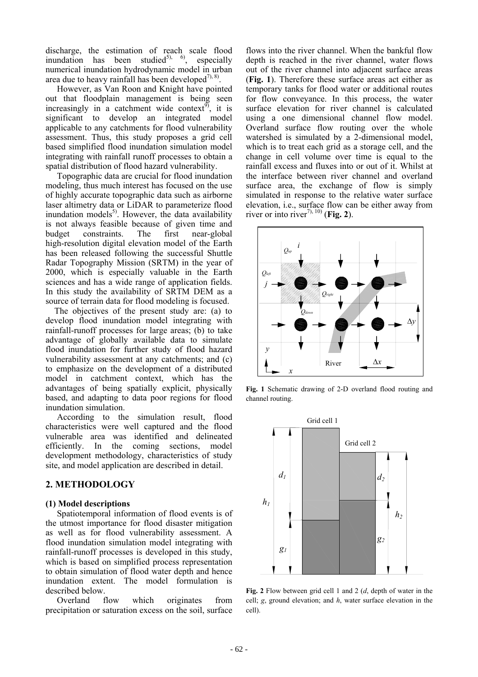discharge, the estimation of reach scale flood inundation has been studied<sup>5), 6</sup>, especially numerical inundation hydrodynamic model in urban area due to heavy rainfall has been developed<sup>7), 8)</sup>.

However, as Van Roon and Knight have pointed out that floodplain management is being seen increasingly in a catchment wide context $\delta$ , it is significant to develop an integrated model applicable to any catchments for flood vulnerability assessment. Thus, this study proposes a grid cell based simplified flood inundation simulation model integrating with rainfall runoff processes to obtain a spatial distribution of flood hazard vulnerability.

Topographic data are crucial for flood inundation modeling, thus much interest has focused on the use of highly accurate topographic data such as airborne laser altimetry data or LiDAR to parameterize flood inundation models<sup>5)</sup>. However, the data availability is not always feasible because of given time and budget constraints. The first near-global high-resolution digital elevation model of the Earth has been released following the successful Shuttle Radar Topography Mission (SRTM) in the year of 2000, which is especially valuable in the Earth sciences and has a wide range of application fields. In this study the availability of SRTM DEM as a source of terrain data for flood modeling is focused.

The objectives of the present study are: (a) to develop flood inundation model integrating with rainfall-runoff processes for large areas; (b) to take advantage of globally available data to simulate flood inundation for further study of flood hazard vulnerability assessment at any catchments; and (c) to emphasize on the development of a distributed model in catchment context, which has the advantages of being spatially explicit, physically based, and adapting to data poor regions for flood inundation simulation.

According to the simulation result, flood characteristics were well captured and the flood vulnerable area was identified and delineated efficiently. In the coming sections, model development methodology, characteristics of study site, and model application are described in detail.

# **2. METHODOLOGY**

## **(1) Model descriptions**

Spatiotemporal information of flood events is of the utmost importance for flood disaster mitigation as well as for flood vulnerability assessment. A flood inundation simulation model integrating with rainfall-runoff processes is developed in this study, which is based on simplified process representation to obtain simulation of flood water depth and hence inundation extent. The model formulation is described below.

Overland flow which originates from precipitation or saturation excess on the soil, surface flows into the river channel. When the bankful flow depth is reached in the river channel, water flows out of the river channel into adjacent surface areas (**Fig. 1**). Therefore these surface areas act either as temporary tanks for flood water or additional routes for flow conveyance. In this process, the water surface elevation for river channel is calculated using a one dimensional channel flow model. Overland surface flow routing over the whole watershed is simulated by a 2-dimensional model, which is to treat each grid as a storage cell, and the change in cell volume over time is equal to the rainfall excess and fluxes into or out of it. Whilst at the interface between river channel and overland surface area, the exchange of flow is simply simulated in response to the relative water surface elevation, i.e., surface flow can be either away from river or into river<sup>7), 10</sup> (**Fig. 2**).



**Fig. 1** Schematic drawing of 2-D overland flood routing and channel routing.



**Fig. 2** Flow between grid cell 1 and 2 (*d*, depth of water in the cell; *g*, ground elevation; and *h*, water surface elevation in the cell).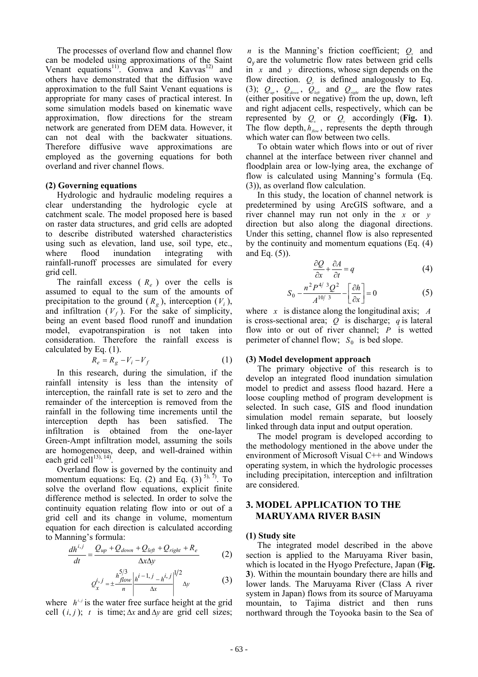The processes of overland flow and channel flow can be modeled using approximations of the Saint Venant equations<sup>11)</sup>. Gonwa and Kavvas<sup>12)</sup> and others have demonstrated that the diffusion wave approximation to the full Saint Venant equations is appropriate for many cases of practical interest. In some simulation models based on kinematic wave approximation, flow directions for the stream network are generated from DEM data. However, it can not deal with the backwater situations. Therefore diffusive wave approximations are employed as the governing equations for both overland and river channel flows.

## **(2) Governing equations**

Hydrologic and hydraulic modeling requires a clear understanding the hydrologic cycle at catchment scale. The model proposed here is based on raster data structures, and grid cells are adopted to describe distributed watershed characteristics using such as elevation, land use, soil type, etc., where flood inundation integrating with rainfall-runoff processes are simulated for every grid cell.

The rainfall excess  $(R_e)$  over the cells is assumed to equal to the sum of the amounts of precipitation to the ground  $(R_g)$ , interception  $(V_i)$ , and infiltration  $(V_f)$ . For the sake of simplicity, being an event based flood runoff and inundation model, evapotranspiration is not taken into consideration. Therefore the rainfall excess is calculated by Eq. (1).

$$
R_e = R_g - V_i - V_f \tag{1}
$$

In this research, during the simulation, if the rainfall intensity is less than the intensity of interception, the rainfall rate is set to zero and the remainder of the interception is removed from the rainfall in the following time increments until the interception depth has been satisfied. The infiltration is obtained from the one-layer Green-Ampt infiltration model, assuming the soils are homogeneous, deep, and well-drained within each grid cell $^{13)}$ ,  $^{14)}$ .

Overland flow is governed by the continuity and momentum equations: Eq. (2) and Eq. (3)  $^{5}$ , 7). To solve the overland flow equations, explicit finite difference method is selected. In order to solve the continuity equation relating flow into or out of a grid cell and its change in volume, momentum equation for each direction is calculated according to Manning's formula:

$$
\frac{dh^{i,j}}{dt} = \frac{Q_{up} + Q_{down} + Q_{left} + Q_{right} + R_e}{\Delta x \Delta y}
$$
(2)

$$
Q_x^{i,j} = \pm \frac{h_{flow}^{5/3}}{n} \left| \frac{h^{i-1,j} - h^{i,j}}{\Delta x} \right|^{1/2} \Delta y
$$
 (3)

where  $h^{i,j}$  is the water free surface height at the grid cell  $(i, j)$ ; *t* is time;  $\Delta x$  and  $\Delta y$  are grid cell sizes;

 $n$  is the Manning's friction coefficient;  $Q<sub>x</sub>$  and *Qy* are the volumetric flow rates between grid cells in *x* and *y* directions, whose sign depends on the flow direction.  $Q<sub>v</sub>$  is defined analogously to Eq. (3);  $Q_{up}$ ,  $Q_{down}$ ,  $\overrightarrow{Q}_{left}$  and  $Q_{right}$  are the flow rates (either positive or negative) from the up, down, left and right adjacent cells, respectively, which can be represented by  $Q_x$  or  $Q_y$  accordingly (Fig. 1). The flow depth,  $\hat{h}_{\text{flow}}$ , represents the depth through which water can flow between two cells.

To obtain water which flows into or out of river channel at the interface between river channel and floodplain area or low-lying area, the exchange of flow is calculated using Manning's formula (Eq. (3)), as overland flow calculation.

In this study, the location of channel network is predetermined by using ArcGIS software, and a river channel may run not only in the *x* or *y* direction but also along the diagonal directions. Under this setting, channel flow is also represented by the continuity and momentum equations (Eq. (4) and Eq.  $(5)$ ).

$$
\frac{\partial Q}{\partial x} + \frac{\partial A}{\partial t} = q \tag{4}
$$

$$
S_0 - \frac{n^2 P^{4/3} Q^2}{A^{10/3}} - \left[\frac{\partial h}{\partial x}\right] = 0
$$
 (5)

where *x* is distance along the longitudinal axis; *A* is cross-sectional area; *Q* is discharge; *q* is lateral flow into or out of river channel; *P* is wetted perimeter of channel flow;  $S_0$  is bed slope.

## **(3) Model development approach**

The primary objective of this research is to develop an integrated flood inundation simulation model to predict and assess flood hazard. Here a loose coupling method of program development is selected. In such case, GIS and flood inundation simulation model remain separate, but loosely linked through data input and output operation.

The model program is developed according to the methodology mentioned in the above under the environment of Microsoft Visual C++ and Windows operating system, in which the hydrologic processes including precipitation, interception and infiltration are considered.

# **3. MODEL APPLICATION TO THE MARUYAMA RIVER BASIN**

## **(1) Study site**

The integrated model described in the above section is applied to the Maruyama River basin, which is located in the Hyogo Prefecture, Japan (**Fig. 3**). Within the mountain boundary there are hills and lower lands. The Maruyama River (Class A river system in Japan) flows from its source of Maruyama mountain, to Tajima district and then runs northward through the Toyooka basin to the Sea of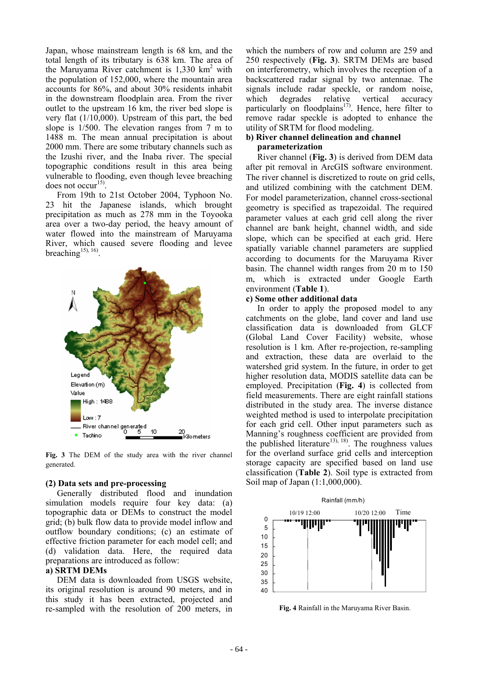Japan, whose mainstream length is 68 km, and the total length of its tributary is 638 km. The area of the Maruyama River catchment is  $1,330$  km<sup>2</sup> with the population of 152,000, where the mountain area accounts for 86%, and about 30% residents inhabit in the downstream floodplain area. From the river outlet to the upstream 16 km, the river bed slope is very flat (1/10,000). Upstream of this part, the bed slope is 1/500. The elevation ranges from 7 m to 1488 m. The mean annual precipitation is about 2000 mm. There are some tributary channels such as the Izushi river, and the Inaba river. The special topographic conditions result in this area being vulnerable to flooding, even though levee breaching does not occur<sup>15)</sup>.

From 19th to 21st October 2004, Typhoon No. 23 hit the Japanese islands, which brought precipitation as much as 278 mm in the Toyooka area over a two-day period, the heavy amount of water flowed into the mainstream of Maruyama River, which caused severe flooding and levee breaching<sup>15), 16</sup>).



**Fig. 3** The DEM of the study area with the river channel generated.

## **(2) Data sets and pre-processing**

Generally distributed flood and inundation simulation models require four key data: (a) topographic data or DEMs to construct the model grid; (b) bulk flow data to provide model inflow and outflow boundary conditions; (c) an estimate of effective friction parameter for each model cell; and (d) validation data. Here, the required data preparations are introduced as follow:

#### **a) SRTM DEMs**

DEM data is downloaded from USGS website. its original resolution is around 90 meters, and in this study it has been extracted, projected and re-sampled with the resolution of 200 meters, in which the numbers of row and column are 259 and 250 respectively (**Fig. 3**). SRTM DEMs are based on interferometry, which involves the reception of a backscattered radar signal by two antennae. The signals include radar speckle, or random noise, which degrades relative vertical accuracy particularly on floodplains<sup>17)</sup>. Hence, here filter to remove radar speckle is adopted to enhance the utility of SRTM for flood modeling.

## **b) River channel delineation and channel parameterization**

River channel (**Fig. 3**) is derived from DEM data after pit removal in ArcGIS software environment. The river channel is discretized to route on grid cells, and utilized combining with the catchment DEM. For model parameterization, channel cross-sectional geometry is specified as trapezoidal. The required parameter values at each grid cell along the river channel are bank height, channel width, and side slope, which can be specified at each grid. Here spatially variable channel parameters are supplied according to documents for the Maruyama River basin. The channel width ranges from 20 m to 150 m, which is extracted under Google Earth environment (**Table 1**).

## **c) Some other additional data**

In order to apply the proposed model to any catchments on the globe, land cover and land use classification data is downloaded from GLCF (Global Land Cover Facility) website, whose resolution is 1 km. After re-projection, re-sampling and extraction, these data are overlaid to the watershed grid system. In the future, in order to get higher resolution data, MODIS satellite data can be employed. Precipitation (**Fig. 4**) is collected from field measurements. There are eight rainfall stations distributed in the study area. The inverse distance weighted method is used to interpolate precipitation for each grid cell. Other input parameters such as Manning's roughness coefficient are provided from the published literature<sup>13), 18</sup>. The roughness values for the overland surface grid cells and interception storage capacity are specified based on land use classification (**Table 2**). Soil type is extracted from Soil map of Japan (1:1,000,000).



**Fig. 4** Rainfall in the Maruyama River Basin.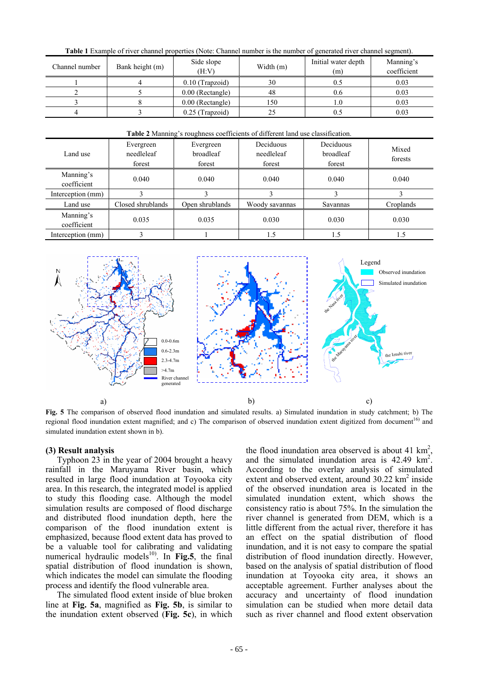**Table 1** Example of river channel properties (Note: Channel number is the number of generated river channel segment).

| Channel number | Bank height (m) | Side slope<br>(H:V) | Width $(m)$ | Initial water depth<br>(m) | Manning's<br>coefficient |
|----------------|-----------------|---------------------|-------------|----------------------------|--------------------------|
|                |                 | $0.10$ (Trapzoid)   | 30          | 0.5                        | 0.03                     |
|                |                 | $0.00$ (Rectangle)  | 48          | 0.6                        | 0.03                     |
|                |                 | $0.00$ (Rectangle)  | 150         | L.C                        | 0.03                     |
|                |                 | $0.25$ (Trapzoid)   |             | 0.5                        | 0.03                     |

**Table 2** Manning's roughness coefficients of different land use classification.

| Land use                 | Evergreen<br>needleleaf<br>forest | Evergreen<br>broadleaf<br>forest | Deciduous<br>needleleaf<br>forest | Deciduous<br>broadleaf<br>forest | Mixed<br>forests |
|--------------------------|-----------------------------------|----------------------------------|-----------------------------------|----------------------------------|------------------|
| Manning's<br>coefficient | 0.040                             | 0.040                            | 0.040                             | 0.040                            | 0.040            |
| Interception (mm)        |                                   |                                  |                                   |                                  |                  |
| Land use                 | Closed shrublands                 | Open shrublands                  | Woody savannas                    | <b>Savannas</b>                  | Croplands        |
| Manning's<br>coefficient | 0.035                             | 0.035                            | 0.030                             | 0.030                            | 0.030            |
| Interception (mm)        |                                   |                                  | 1.5                               |                                  | 1.5              |



**Fig. 5** The comparison of observed flood inundation and simulated results. a) Simulated inundation in study catchment; b) The regional flood inundation extent magnified; and c) The comparison of observed inundation extent digitized from document<sup>16</sup>) and simulated inundation extent shown in b).

#### **(3) Result analysis**

Typhoon 23 in the year of 2004 brought a heavy rainfall in the Maruyama River basin, which resulted in large flood inundation at Toyooka city area. In this research, the integrated model is applied to study this flooding case. Although the model simulation results are composed of flood discharge and distributed flood inundation depth, here the comparison of the flood inundation extent is emphasized, because flood extent data has proved to be a valuable tool for calibrating and validating numerical hydraulic models $10$ <sup>10</sup>. In **Fig.5**, the final spatial distribution of flood inundation is shown, which indicates the model can simulate the flooding process and identify the flood vulnerable area.

The simulated flood extent inside of blue broken line at **Fig. 5a**, magnified as **Fig. 5b**, is similar to the inundation extent observed (**Fig. 5c**), in which the flood inundation area observed is about 41  $km<sup>2</sup>$ , and the simulated inundation area is  $42.49 \text{ km}^2$ . According to the overlay analysis of simulated extent and observed extent, around 30.22 km<sup>2</sup> inside of the observed inundation area is located in the simulated inundation extent, which shows the consistency ratio is about 75%. In the simulation the river channel is generated from DEM, which is a little different from the actual river, therefore it has an effect on the spatial distribution of flood inundation, and it is not easy to compare the spatial distribution of flood inundation directly. However, based on the analysis of spatial distribution of flood inundation at Toyooka city area, it shows an acceptable agreement. Further analyses about the accuracy and uncertainty of flood inundation simulation can be studied when more detail data such as river channel and flood extent observation